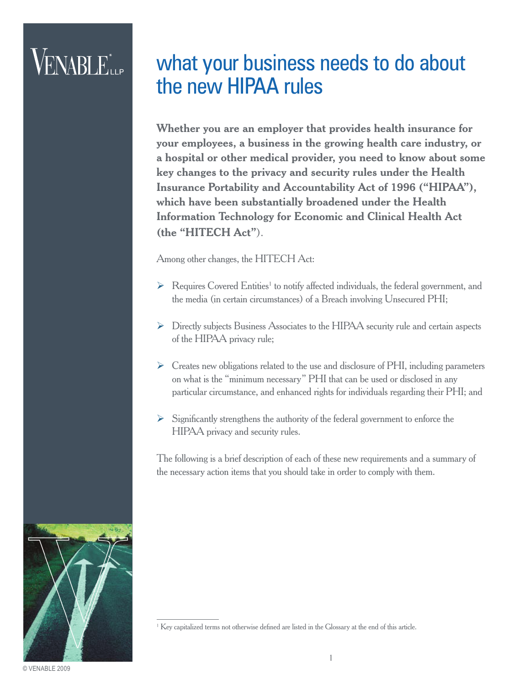# **VENABLE**

# what your business needs to do about the new HIPAA rules

**Whether you are an employer that provides health insurance for your employees, a business in the growing health care industry, or a hospital or other medical provider, you need to know about some key changes to the privacy and security rules under the Health Insurance Portability and Accountability Act of 1996 ("HIPAA"), which have been substantially broadened under the Health Information Technology for Economic and Clinical Health Act (the "HITECH Act"**).

Among other changes, the HITECH Act:

- $\triangleright$  Requires Covered Entities<sup>1</sup> to notify affected individuals, the federal government, and the media (in certain circumstances) of a Breach involving Unsecured PHI;
- Ø Directly subjects Business Associates to the HIPAA security rule and certain aspects of the HIPAA privacy rule;
- $\triangleright$  Creates new obligations related to the use and disclosure of PHI, including parameters on what is the "minimum necessary" PHI that can be used or disclosed in any particular circumstance, and enhanced rights for individuals regarding their PHI; and
- $\triangleright$  Significantly strengthens the authority of the federal government to enforce the HIPAA privacy and security rules.

The following is a brief description of each of these new requirements and a summary of the necessary action items that you should take in order to comply with them.



<sup>&</sup>lt;sup>1</sup> Key capitalized terms not otherwise defined are listed in the Glossary at the end of this article.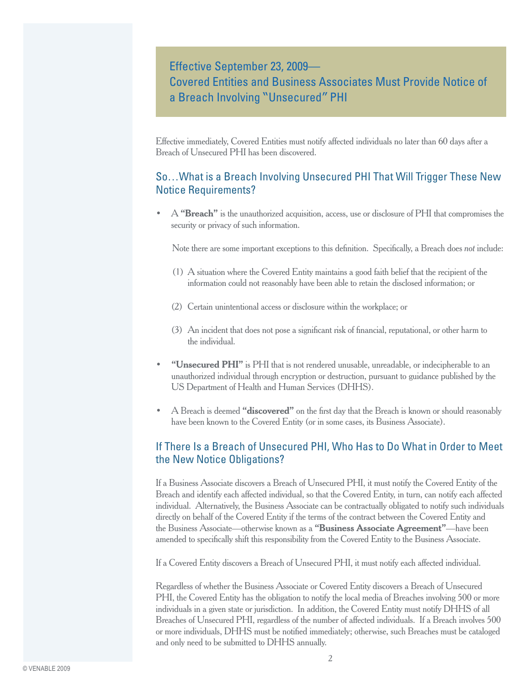# Effective September 23, 2009— Covered Entities and Business Associates Must Provide Notice of a Breach Involving "Unsecured" PHI

Effective immediately, Covered Entities must notify affected individuals no later than 60 days after a Breach of Unsecured PHI has been discovered.

# So…What is a Breach Involving Unsecured PHI That Will Trigger These New Notice Requirements?

A "**Breach**" is the unauthorized acquisition, access, use or disclosure of PHI that compromises the security or privacy of such information.

Note there are some important exceptions to this definition. Specifically, a Breach does *not* include:

- (1) A situation where the Covered Entity maintains a good faith belief that the recipient of the information could not reasonably have been able to retain the disclosed information; or
- (2) Certain unintentional access or disclosure within the workplace; or
- (3) An incident that does not pose a significant risk of financial, reputational, or other harm to the individual.
- "Unsecured PHI" is PHI that is not rendered unusable, unreadable, or indecipherable to an unauthorized individual through encryption or destruction, pursuant to guidance published by the US Department of Health and Human Services (DHHS).
- A Breach is deemed "**discovered"** on the first day that the Breach is known or should reasonably have been known to the Covered Entity (or in some cases, its Business Associate).

# If There Is a Breach of Unsecured PHI, Who Has to Do What in Order to Meet the New Notice Obligations?

If a Business Associate discovers a Breach of Unsecured PHI, it must notify the Covered Entity of the Breach and identify each affected individual, so that the Covered Entity, in turn, can notify each affected individual. Alternatively, the Business Associate can be contractually obligated to notify such individuals directly on behalf of the Covered Entity if the terms of the contract between the Covered Entity and the Business Associate—otherwise known as a **"Business Associate Agreement"**—have been amended to specifically shift this responsibility from the Covered Entity to the Business Associate.

If a Covered Entity discovers a Breach of Unsecured PHI, it must notify each affected individual.

Regardless of whether the Business Associate or Covered Entity discovers a Breach of Unsecured PHI, the Covered Entity has the obligation to notify the local media of Breaches involving 500 or more individuals in a given state or jurisdiction. In addition, the Covered Entity must notify DHHS of all Breaches of Unsecured PHI, regardless of the number of affected individuals. If a Breach involves 500 or more individuals, DHHS must be notified immediately; otherwise, such Breaches must be cataloged and only need to be submitted to DHHS annually.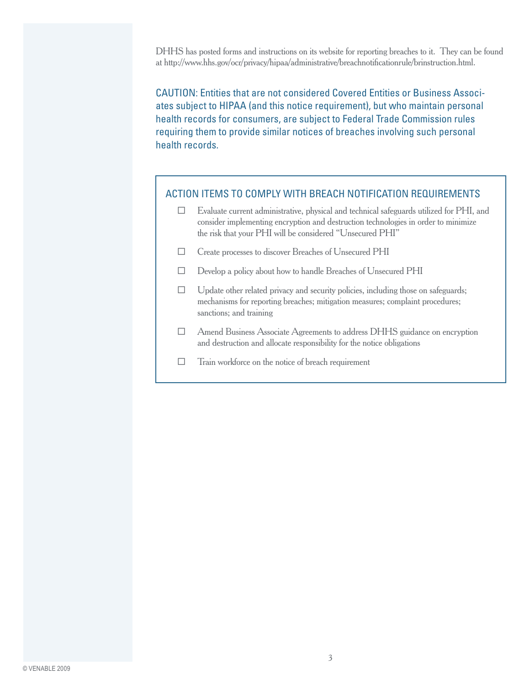DHHS has posted forms and instructions on its website for reporting breaches to it. They can be found at http://www.hhs.gov/ocr/privacy/hipaa/administrative/breachnotificationrule/brinstruction.html.

CAUTION: Entities that are not considered Covered Entities or Business Associates subject to HIPAA (and this notice requirement), but who maintain personal health records for consumers, are subject to Federal Trade Commission rules requiring them to provide similar notices of breaches involving such personal health records.

# ACTION ITEMS TO COMPLY WITH BREACH NOTIFICATION REQUIREMENTS

- $\square$  Evaluate current administrative, physical and technical safeguards utilized for PHI, and consider implementing encryption and destruction technologies in order to minimize the risk that your PHI will be considered "Unsecured PHI"
- Create processes to discover Breaches of Unsecured PHI
- Develop a policy about how to handle Breaches of Unsecured PHI
- $\Box$  Update other related privacy and security policies, including those on safeguards; mechanisms for reporting breaches; mitigation measures; complaint procedures; sanctions; and training
- Amend Business Associate Agreements to address DHHS guidance on encryption and destruction and allocate responsibility for the notice obligations
- $\Box$  Train workforce on the notice of breach requirement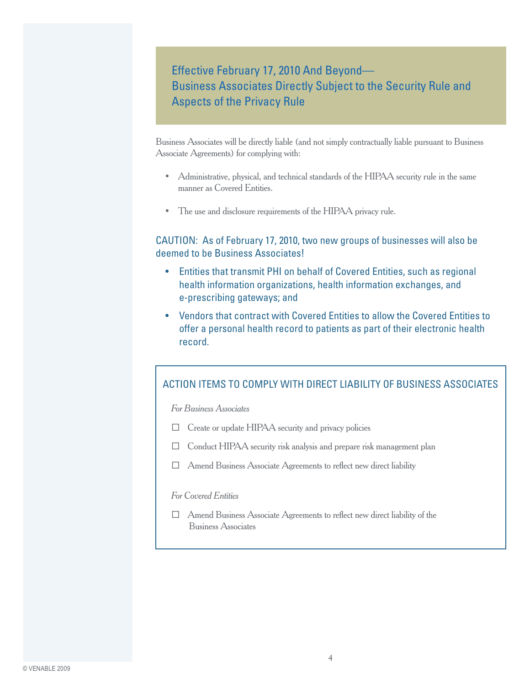# Effective February 17, 2010 And Beyond— Business Associates Directly Subject to the Security Rule and Aspects of the Privacy Rule

Business Associates will be directly liable (and not simply contractually liable pursuant to Business Associate Agreements) for complying with:

- Administrative, physical, and technical standards of the HIPAA security rule in the same manner as Covered Entities.
- The use and disclosure requirements of the HIPAA privacy rule.

CAUTION: As of February 17, 2010, two new groups of businesses will also be deemed to be Business Associates!

- Entities that transmit PHI on behalf of Covered Entities, such as regional health information organizations, health information exchanges, and e-prescribing gateways; and
- • Vendors that contract with Covered Entities to allow the Covered Entities to offer a personal health record to patients as part of their electronic health record.

#### ACTION ITEMS TO COMPLY WITH DIRECT LIABILITY OF BUSINESS ASSOCIATES

*For Business Associates*

- $\Box$  Create or update HIPAA security and privacy policies
- $\Box$  Conduct HIPAA security risk analysis and prepare risk management plan
- $\Box$  Amend Business Associate Agreements to reflect new direct liability

#### *For Covered Entities*

 Amend Business Associate Agreements to reflect new direct liability of the Business Associates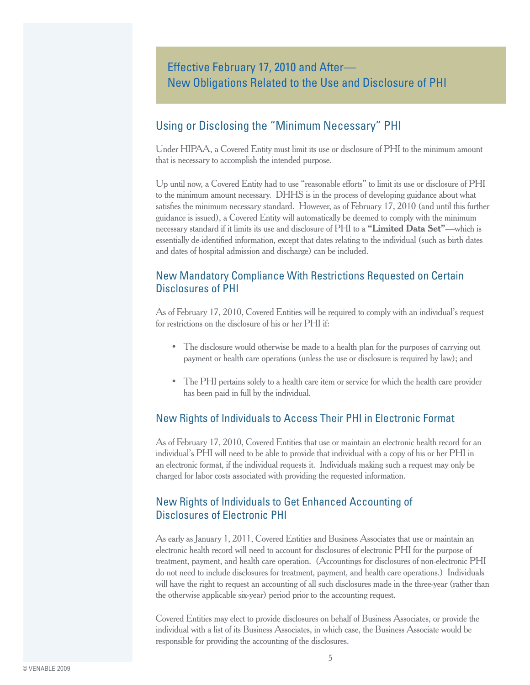# Effective February 17, 2010 and After— New Obligations Related to the Use and Disclosure of PHI

# Using or Disclosing the "Minimum Necessary" PHI

Under HIPAA, a Covered Entity must limit its use or disclosure of PHI to the minimum amount that is necessary to accomplish the intended purpose.

Up until now, a Covered Entity had to use "reasonable efforts" to limit its use or disclosure of PHI to the minimum amount necessary. DHHS is in the process of developing guidance about what satisfies the minimum necessary standard. However, as of February 17, 2010 (and until this further guidance is issued), a Covered Entity will automatically be deemed to comply with the minimum necessary standard if it limits its use and disclosure of PHI to a **"Limited Data Set"**—which is essentially de-identified information, except that dates relating to the individual (such as birth dates and dates of hospital admission and discharge) can be included.

# New Mandatory Compliance With Restrictions Requested on Certain Disclosures of PHI

As of February 17, 2010, Covered Entities will be required to comply with an individual's request for restrictions on the disclosure of his or her PHI if:

- The disclosure would otherwise be made to a health plan for the purposes of carrying out payment or health care operations (unless the use or disclosure is required by law); and
- The PHI pertains solely to a health care item or service for which the health care provider has been paid in full by the individual.

### New Rights of Individuals to Access Their PHI in Electronic Format

As of February 17, 2010, Covered Entities that use or maintain an electronic health record for an individual's PHI will need to be able to provide that individual with a copy of his or her PHI in an electronic format, if the individual requests it. Individuals making such a request may only be charged for labor costs associated with providing the requested information.

# New Rights of Individuals to Get Enhanced Accounting of Disclosures of Electronic PHI

As early as January 1, 2011, Covered Entities and Business Associates that use or maintain an electronic health record will need to account for disclosures of electronic PHI for the purpose of treatment, payment, and health care operation. (Accountings for disclosures of non-electronic PHI do not need to include disclosures for treatment, payment, and health care operations.) Individuals will have the right to request an accounting of all such disclosures made in the three-year (rather than the otherwise applicable six-year) period prior to the accounting request.

Covered Entities may elect to provide disclosures on behalf of Business Associates, or provide the individual with a list of its Business Associates, in which case, the Business Associate would be responsible for providing the accounting of the disclosures.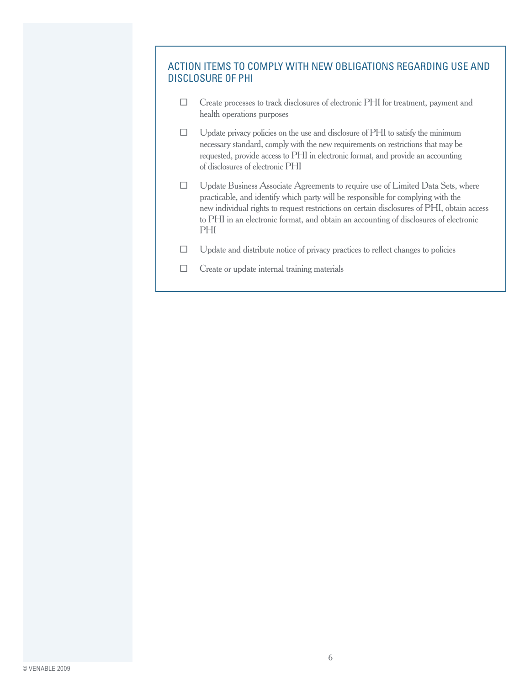# ACTION ITEMS TO COMPLY WITH NEW OBLIGATIONS REGARDING USE AND DISCLOSURE OF PHI

- Create processes to track disclosures of electronic PHI for treatment, payment and health operations purposes
- $\square$  Update privacy policies on the use and disclosure of PHI to satisfy the minimum necessary standard, comply with the new requirements on restrictions that may be requested, provide access to PHI in electronic format, and provide an accounting of disclosures of electronic PHI
- Update Business Associate Agreements to require use of Limited Data Sets, where practicable, and identify which party will be responsible for complying with the new individual rights to request restrictions on certain disclosures of PHI, obtain access to PHI in an electronic format, and obtain an accounting of disclosures of electronic PHI
- $\Box$  Update and distribute notice of privacy practices to reflect changes to policies
- $\Box$  Create or update internal training materials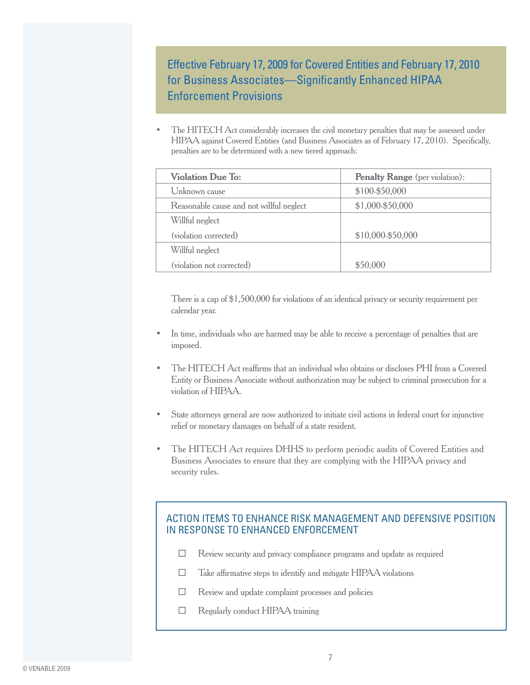# Effective February 17, 2009 for Covered Entities and February 17, 2010 for Business Associates—Significantly Enhanced HIPAA Enforcement Provisions

The HITECH Act considerably increases the civil monetary penalties that may be assessed under HIPAA against Covered Entities (and Business Associates as of February 17, 2010). Specifically, penalties are to be determined with a new tiered approach:

| <b>Violation Due To:</b>                 | <b>Penalty Range</b> (per violation): |
|------------------------------------------|---------------------------------------|
| Unknown cause                            | \$100-\$50,000                        |
| Reasonable cause and not willful neglect | \$1,000-\$50,000                      |
| Willful neglect                          |                                       |
| (violation corrected)                    | \$10,000-\$50,000                     |
| Willful neglect                          |                                       |
| (violation not corrected)                | \$50,000                              |

 There is a cap of \$1,500,000 for violations of an identical privacy or security requirement per calendar year.

- In time, individuals who are harmed may be able to receive a percentage of penalties that are imposed.
- The HITECH Act reaffirms that an individual who obtains or discloses PHI from a Covered Entity or Business Associate without authorization may be subject to criminal prosecution for a violation of HIPAA.
- State attorneys general are now authorized to initiate civil actions in federal court for injunctive relief or monetary damages on behalf of a state resident.
- The HITECH Act requires DHHS to perform periodic audits of Covered Entities and Business Associates to ensure that they are complying with the HIPAA privacy and security rules.

### ACTION ITEMS TO ENHANCE RISK MANAGEMENT AND DEFENSIVE POSITION IN RESPONSE TO ENHANCED ENFORCEMENT

- $\Box$  Review security and privacy compliance programs and update as required
- $\Box$  Take affirmative steps to identify and mitigate HIPAA violations
- $\Box$  Review and update complaint processes and policies
- $\Box$  Regularly conduct HIPAA training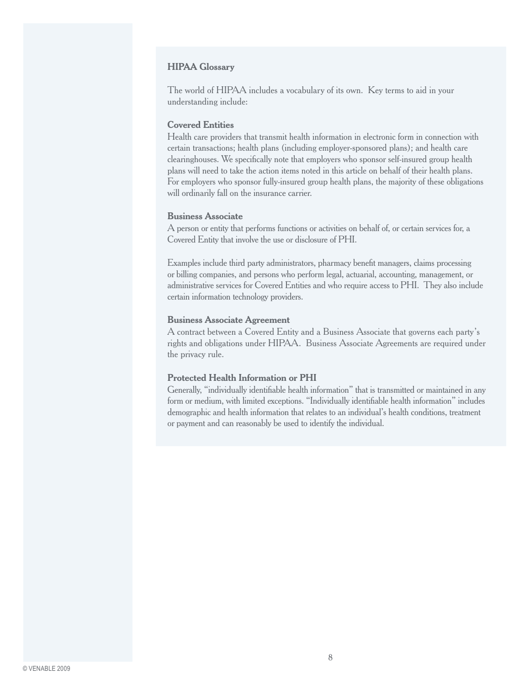#### **HIPAA Glossary**

The world of HIPAA includes a vocabulary of its own. Key terms to aid in your understanding include:

#### **Covered Entities**

Health care providers that transmit health information in electronic form in connection with certain transactions; health plans (including employer-sponsored plans); and health care clearinghouses. We specifically note that employers who sponsor self-insured group health plans will need to take the action items noted in this article on behalf of their health plans. For employers who sponsor fully-insured group health plans, the majority of these obligations will ordinarily fall on the insurance carrier.

#### **Business Associate**

A person or entity that performs functions or activities on behalf of, or certain services for, a Covered Entity that involve the use or disclosure of PHI.

Examples include third party administrators, pharmacy benefit managers, claims processing or billing companies, and persons who perform legal, actuarial, accounting, management, or administrative services for Covered Entities and who require access to PHI. They also include certain information technology providers.

#### **Business Associate Agreement**

A contract between a Covered Entity and a Business Associate that governs each party's rights and obligations under HIPAA. Business Associate Agreements are required under the privacy rule.

#### **Protected Health Information or PHI**

Generally, "individually identifiable health information" that is transmitted or maintained in any form or medium, with limited exceptions. "Individually identifiable health information" includes demographic and health information that relates to an individual's health conditions, treatment or payment and can reasonably be used to identify the individual.